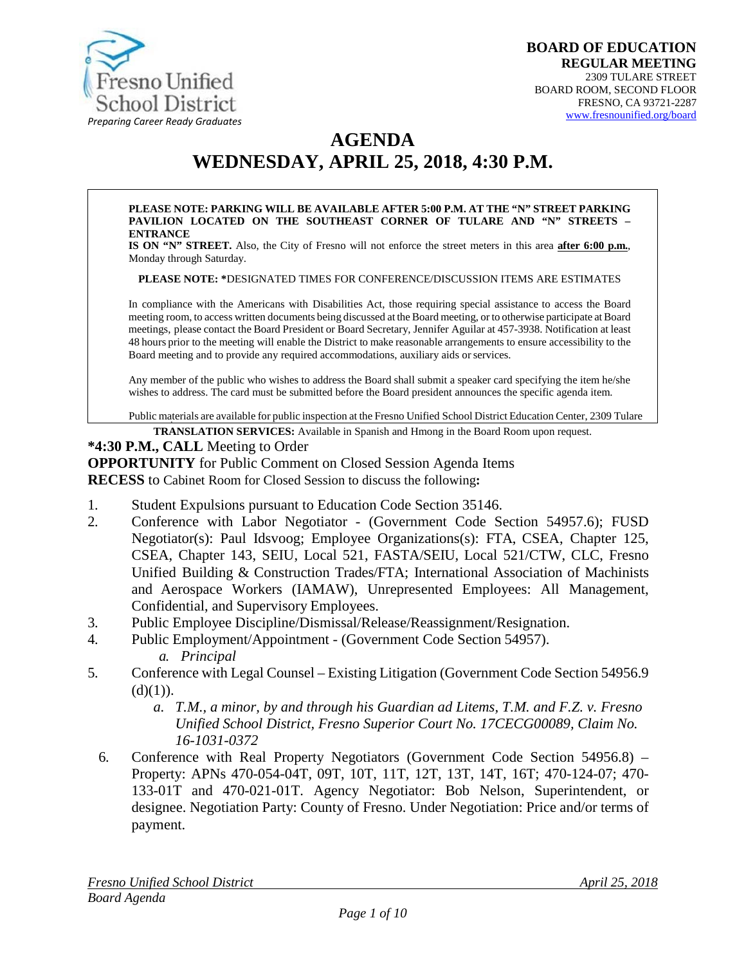

# **AGENDA WEDNESDAY, APRIL 25, 2018, 4:30 P.M.**

#### **PLEASE NOTE: PARKING WILL BE AVAILABLE AFTER 5:00 P.M. AT THE "N" STREET PARKING PAVILION LOCATED ON THE SOUTHEAST CORNER OF TULARE AND "N" STREETS – ENTRANCE**

**IS ON "N" STREET.** Also, the City of Fresno will not enforce the street meters in this area **after 6:00 p.m.**, Monday through Saturday.

**PLEASE NOTE: \***DESIGNATED TIMES FOR CONFERENCE/DISCUSSION ITEMS ARE ESTIMATES

In compliance with the Americans with Disabilities Act, those requiring special assistance to access the Board meeting room, to access written documents being discussed at the Board meeting, or to otherwise participate at Board meetings, please contact the Board President or Board Secretary, Jennifer Aguilar at 457-3938. Notification at least 48 hours prior to the meeting will enable the District to make reasonable arrangements to ensure accessibility to the Board meeting and to provide any required accommodations, auxiliary aids orservices.

Any member of the public who wishes to address the Board shall submit a speaker card specifying the item he/she wishes to address. The card must be submitted before the Board president announces the specific agenda item.

Public materials are available for public inspection at the Fresno Unified School District Education Center, 2309 Tulare

**TRANSLATION SERVICES:** [Available in Spanish and Hmon](http://www.fresnounified.org/board)g in the Board Room upon request.

#### **\*4:30 P.M., CALL** Meeting to Order

**OPPORTUNITY** for Public Comment on Closed Session Agenda Items

**RECESS** to Cabinet Room for Closed Session to discuss the following**:**

- 1. Student Expulsions pursuant to Education Code Section 35146.
- 2. Conference with Labor Negotiator (Government Code Section 54957.6); FUSD Negotiator(s): Paul Idsvoog; Employee Organizations(s): FTA, CSEA, Chapter 125, CSEA, Chapter 143, SEIU, Local 521, FASTA/SEIU, Local 521/CTW, CLC, Fresno Unified Building & Construction Trades/FTA; International Association of Machinists and Aerospace Workers (IAMAW), Unrepresented Employees: All Management, Confidential, and Supervisory Employees.
- 3. Public Employee Discipline/Dismissal/Release/Reassignment/Resignation.
- 4. Public Employment/Appointment (Government Code Section 54957). *a. Principal*
- 5. Conference with Legal Counsel Existing Litigation (Government Code Section 54956.9  $(d)(1)).$ 
	- *a. T.M., a minor, by and through his Guardian ad Litems, T.M. and F.Z. v. Fresno Unified School District, Fresno Superior Court No. 17CECG00089, Claim No. 16-1031-0372*
	- 6. Conference with Real Property Negotiators (Government Code Section 54956.8) Property: APNs 470-054-04T, 09T, 10T, 11T, 12T, 13T, 14T, 16T; 470-124-07; 470- 133-01T and 470-021-01T. Agency Negotiator: Bob Nelson, Superintendent, or designee. Negotiation Party: County of Fresno. Under Negotiation: Price and/or terms of payment.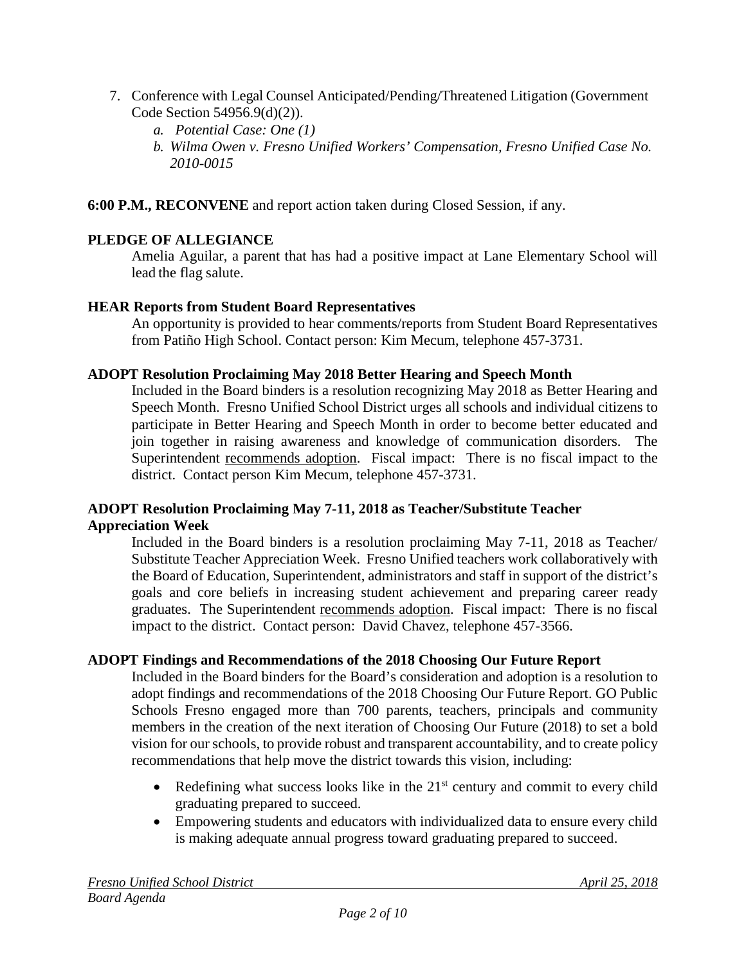- 7. Conference with Legal Counsel Anticipated/Pending/Threatened Litigation (Government Code Section 54956.9(d)(2)).
	- *a. Potential Case: One (1)*
	- *b. Wilma Owen v. Fresno Unified Workers' Compensation, Fresno Unified Case No. 2010-0015*

**6:00 P.M., RECONVENE** and report action taken during Closed Session, if any.

## **PLEDGE OF ALLEGIANCE**

Amelia Aguilar, a parent that has had a positive impact at Lane Elementary School will lead the flag salute.

## **HEAR Reports from Student Board Representatives**

An opportunity is provided to hear comments/reports from Student Board Representatives from Patiño High School. Contact person: Kim Mecum, telephone 457-3731.

## **ADOPT Resolution Proclaiming May 2018 Better Hearing and Speech Month**

Included in the Board binders is a resolution recognizing May 2018 as Better Hearing and Speech Month. Fresno Unified School District urges all schools and individual citizens to participate in Better Hearing and Speech Month in order to become better educated and join together in raising awareness and knowledge of communication disorders. The Superintendent recommends adoption. Fiscal impact: There is no fiscal impact to the district. Contact person Kim Mecum, telephone 457-3731.

## **ADOPT Resolution Proclaiming May 7-11, 2018 as Teacher/Substitute Teacher Appreciation Week**

Included in the Board binders is a resolution proclaiming May 7-11, 2018 as Teacher/ Substitute Teacher Appreciation Week. Fresno Unified teachers work collaboratively with the Board of Education, Superintendent, administrators and staff in support of the district's goals and core beliefs in increasing student achievement and preparing career ready graduates. The Superintendent recommends adoption. Fiscal impact: There is no fiscal impact to the district. Contact person: David Chavez, telephone 457-3566.

## **ADOPT Findings and Recommendations of the 2018 Choosing Our Future Report**

Included in the Board binders for the Board's consideration and adoption is a resolution to adopt findings and recommendations of the 2018 Choosing Our Future Report. GO Public Schools Fresno engaged more than 700 parents, teachers, principals and community members in the creation of the next iteration of Choosing Our Future (2018) to set a bold vision for our schools, to provide robust and transparent accountability, and to create policy recommendations that help move the district towards this vision, including:

- Redefining what success looks like in the  $21<sup>st</sup>$  century and commit to every child graduating prepared to succeed.
- Empowering students and educators with individualized data to ensure every child is making adequate annual progress toward graduating prepared to succeed.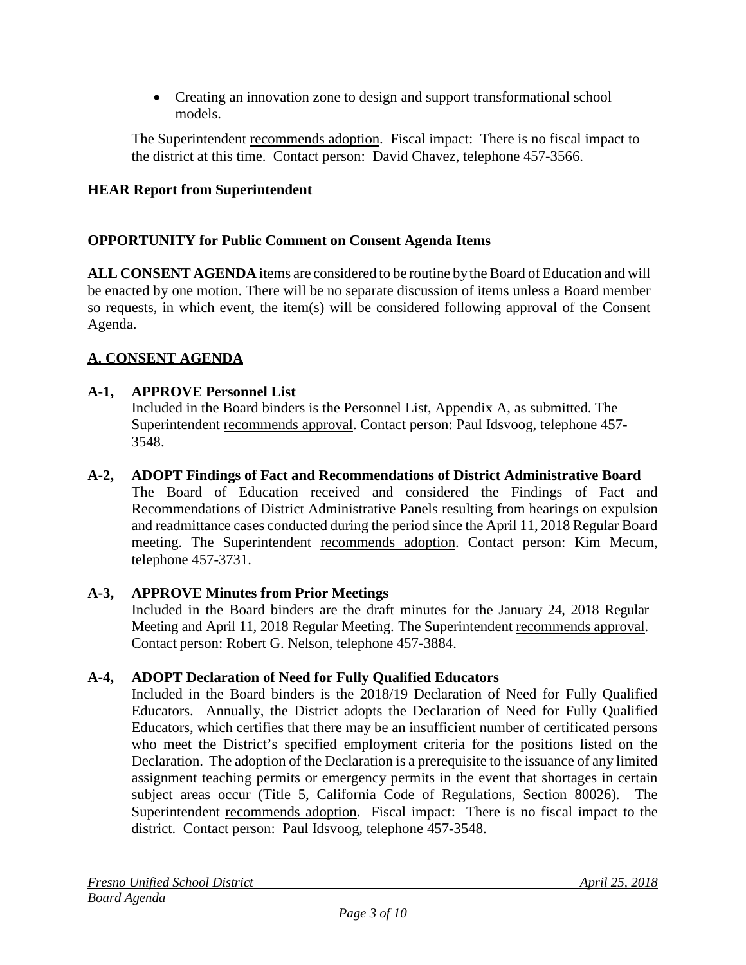• Creating an innovation zone to design and support transformational school models.

The Superintendent recommends adoption. Fiscal impact:There is no fiscal impact to the district at this time. Contact person: David Chavez, telephone 457-3566.

### **HEAR Report from Superintendent**

#### **OPPORTUNITY for Public Comment on Consent Agenda Items**

**ALL CONSENT AGENDA** items are considered to be routine bythe Board of Education and will be enacted by one motion. There will be no separate discussion of items unless a Board member so requests, in which event, the item(s) will be considered following approval of the Consent Agenda.

#### **A. CONSENT AGENDA**

#### **A-1, APPROVE Personnel List**

Included in the Board binders is the Personnel List, Appendix A, as submitted. The Superintendent recommends approval. Contact person: Paul Idsvoog, telephone 457- 3548.

#### **A-2, ADOPT Findings of Fact and Recommendations of District Administrative Board**

The Board of Education received and considered the Findings of Fact and Recommendations of District Administrative Panels resulting from hearings on expulsion and readmittance cases conducted during the period since the April 11, 2018 Regular Board meeting. The Superintendent recommends adoption. Contact person: Kim Mecum, telephone 457-3731.

#### **A-3, APPROVE Minutes from Prior Meetings**

Included in the Board binders are the draft minutes for the January 24, 2018 Regular Meeting and April 11, 2018 Regular Meeting. The Superintendent recommends approval. Contact person: Robert G. Nelson, telephone 457-3884.

#### **A-4, ADOPT Declaration of Need for Fully Qualified Educators**

Included in the Board binders is the 2018/19 Declaration of Need for Fully Qualified Educators. Annually, the District adopts the Declaration of Need for Fully Qualified Educators, which certifies that there may be an insufficient number of certificated persons who meet the District's specified employment criteria for the positions listed on the Declaration. The adoption of the Declaration is a prerequisite to the issuance of any limited assignment teaching permits or emergency permits in the event that shortages in certain subject areas occur (Title 5, California Code of Regulations, Section 80026). The Superintendent recommends adoption. Fiscal impact: There is no fiscal impact to the district. Contact person: Paul Idsvoog, telephone 457-3548.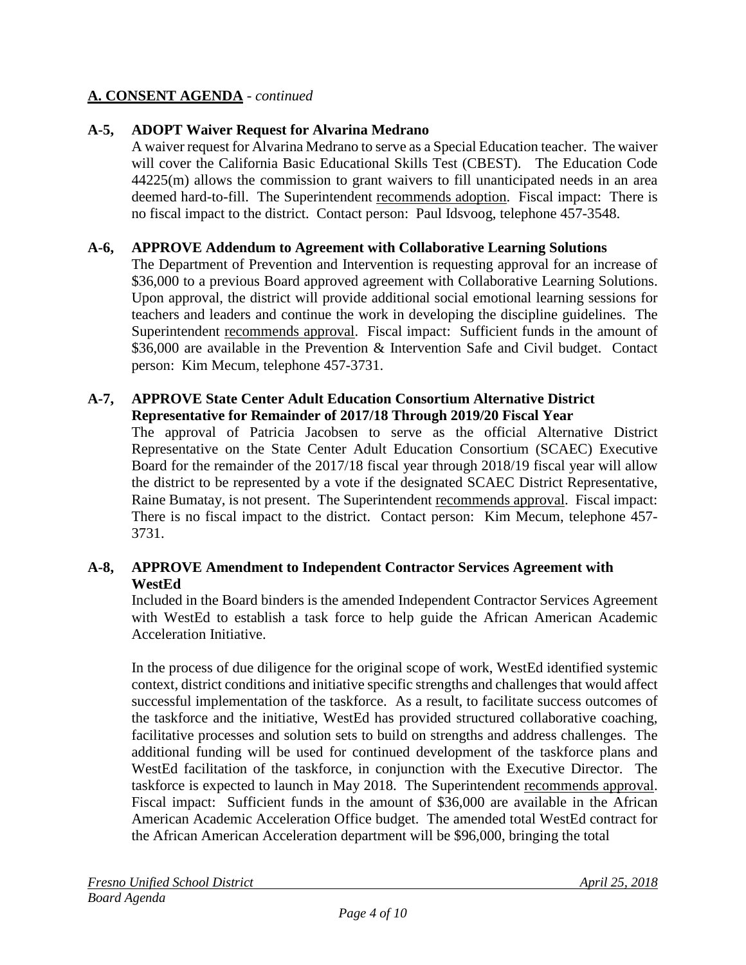### **A-5, ADOPT Waiver Request for Alvarina Medrano**

A waiver request for Alvarina Medrano to serve as a Special Education teacher. The waiver will cover the California Basic Educational Skills Test (CBEST). The Education Code 44225(m) allows the commission to grant waivers to fill unanticipated needs in an area deemed hard-to-fill. The Superintendent recommends adoption. Fiscal impact: There is no fiscal impact to the district. Contact person: Paul Idsvoog, telephone 457-3548.

#### **A-6, APPROVE Addendum to Agreement with Collaborative Learning Solutions**

The Department of Prevention and Intervention is requesting approval for an increase of \$36,000 to a previous Board approved agreement with Collaborative Learning Solutions. Upon approval, the district will provide additional social emotional learning sessions for teachers and leaders and continue the work in developing the discipline guidelines. The Superintendent recommends approval. Fiscal impact: Sufficient funds in the amount of \$36,000 are available in the Prevention & Intervention Safe and Civil budget. Contact person: Kim Mecum, telephone 457-3731.

#### **A-7, APPROVE State Center Adult Education Consortium Alternative District Representative for Remainder of 2017/18 Through 2019/20 Fiscal Year**

The approval of Patricia Jacobsen to serve as the official Alternative District Representative on the State Center Adult Education Consortium (SCAEC) Executive Board for the remainder of the 2017/18 fiscal year through 2018/19 fiscal year will allow the district to be represented by a vote if the designated SCAEC District Representative, Raine Bumatay, is not present. The Superintendent recommends approval. Fiscal impact: There is no fiscal impact to the district. Contact person: Kim Mecum, telephone 457- 3731.

#### **A-8, APPROVE Amendment to Independent Contractor Services Agreement with WestEd**

Included in the Board binders is the amended Independent Contractor Services Agreement with WestEd to establish a task force to help guide the African American Academic Acceleration Initiative.

In the process of due diligence for the original scope of work, WestEd identified systemic context, district conditions and initiative specific strengths and challenges that would affect successful implementation of the taskforce. As a result, to facilitate success outcomes of the taskforce and the initiative, WestEd has provided structured collaborative coaching, facilitative processes and solution sets to build on strengths and address challenges. The additional funding will be used for continued development of the taskforce plans and WestEd facilitation of the taskforce, in conjunction with the Executive Director. The taskforce is expected to launch in May 2018. The Superintendent recommends approval. Fiscal impact: Sufficient funds in the amount of \$36,000 are available in the African American Academic Acceleration Office budget. The amended total WestEd contract for the African American Acceleration department will be \$96,000, bringing the total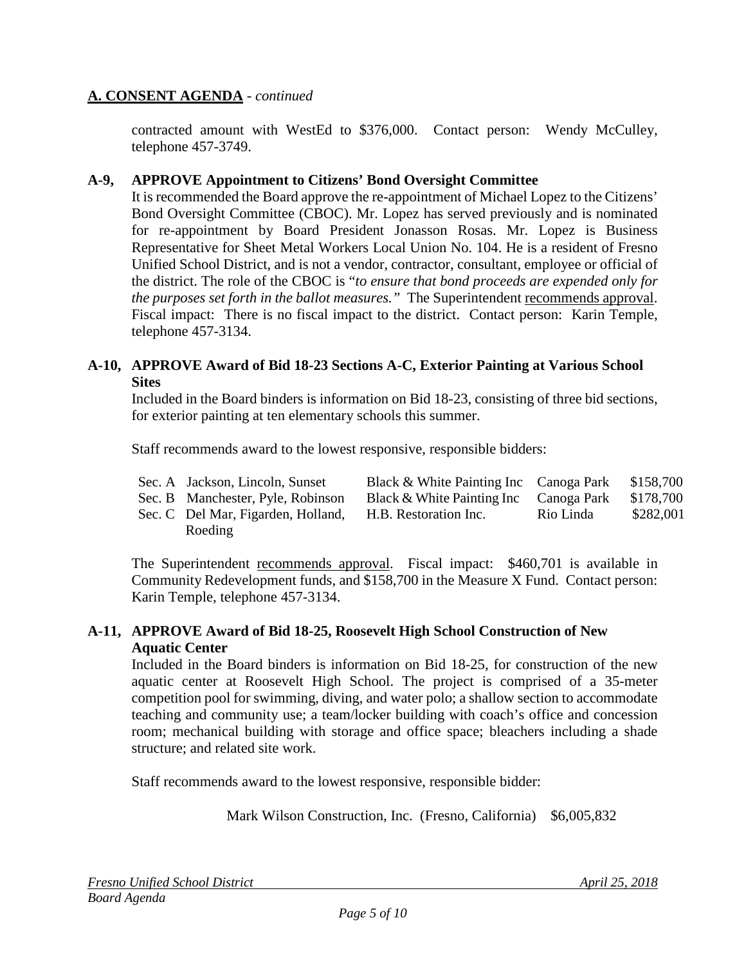contracted amount with WestEd to \$376,000. Contact person: Wendy McCulley, telephone 457-3749.

#### **A-9, APPROVE Appointment to Citizens' Bond Oversight Committee**

It is recommended the Board approve the re-appointment of Michael Lopez to the Citizens' Bond Oversight Committee (CBOC). Mr. Lopez has served previously and is nominated for re-appointment by Board President Jonasson Rosas. Mr. Lopez is Business Representative for Sheet Metal Workers Local Union No. 104. He is a resident of Fresno Unified School District, and is not a vendor, contractor, consultant, employee or official of the district. The role of the CBOC is "*to ensure that bond proceeds are expended only for the purposes set forth in the ballot measures."* The Superintendent recommends approval. Fiscal impact: There is no fiscal impact to the district. Contact person: Karin Temple, telephone 457-3134.

#### **A-10, APPROVE Award of Bid 18-23 Sections A-C, Exterior Painting at Various School Sites**

Included in the Board binders is information on Bid 18-23, consisting of three bid sections, for exterior painting at ten elementary schools this summer.

Staff recommends award to the lowest responsive, responsible bidders:

| Sec. A Jackson, Lincoln, Sunset | Black & White Painting Inc Canoga Park \$158,700 |  |
|---------------------------------|--------------------------------------------------|--|

- Sec. B Manchester, Pyle, Robinson Black & White Painting Inc Canoga Park \$178,700
- Sec. C Del Mar, Figarden, Holland, Roeding H.B. Restoration Inc. Rio Linda \$282,001

The Superintendent recommends approval. Fiscal impact:\$460,701 is available in Community Redevelopment funds, and \$158,700 in the Measure X Fund. Contact person: Karin Temple, telephone 457-3134.

#### **A-11, APPROVE Award of Bid 18-25, Roosevelt High School Construction of New Aquatic Center**

Included in the Board binders is information on Bid 18-25, for construction of the new aquatic center at Roosevelt High School. The project is comprised of a 35-meter competition pool for swimming, diving, and water polo; a shallow section to accommodate teaching and community use; a team/locker building with coach's office and concession room; mechanical building with storage and office space; bleachers including a shade structure; and related site work.

Staff recommends award to the lowest responsive, responsible bidder:

Mark Wilson Construction, Inc. (Fresno, California) \$6,005,832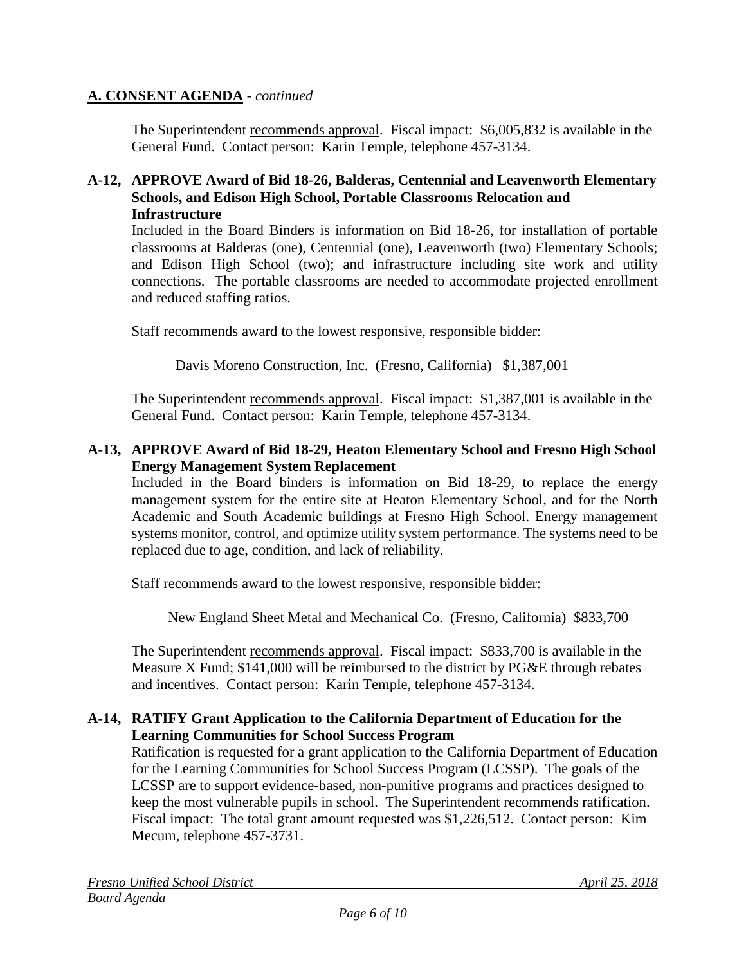The Superintendent recommends approval. Fiscal impact:\$6,005,832 is available in the General Fund. Contact person: Karin Temple, telephone 457-3134.

#### **A-12, APPROVE Award of Bid 18-26, Balderas, Centennial and Leavenworth Elementary Schools, and Edison High School, Portable Classrooms Relocation and Infrastructure**

Included in the Board Binders is information on Bid 18-26, for installation of portable classrooms at Balderas (one), Centennial (one), Leavenworth (two) Elementary Schools; and Edison High School (two); and infrastructure including site work and utility connections. The portable classrooms are needed to accommodate projected enrollment and reduced staffing ratios.

Staff recommends award to the lowest responsive, responsible bidder:

Davis Moreno Construction, Inc. (Fresno, California) \$1,387,001

The Superintendent recommends approval. Fiscal impact: \$1,387,001 is available in the General Fund. Contact person: Karin Temple, telephone 457-3134.

### **A-13, APPROVE Award of Bid 18-29, Heaton Elementary School and Fresno High School Energy Management System Replacement**

Included in the Board binders is information on Bid 18-29, to replace the energy management system for the entire site at Heaton Elementary School, and for the North Academic and South Academic buildings at Fresno High School. Energy management systems monitor, control, and optimize utility system performance. The systems need to be replaced due to age, condition, and lack of reliability.

Staff recommends award to the lowest responsive, responsible bidder:

New England Sheet Metal and Mechanical Co. (Fresno, California) \$833,700

The Superintendent recommends approval. Fiscal impact: \$833,700 is available in the Measure X Fund; \$141,000 will be reimbursed to the district by PG&E through rebates and incentives. Contact person: Karin Temple, telephone 457-3134.

#### **A-14, RATIFY Grant Application to the California Department of Education for the Learning Communities for School Success Program**

Ratification is requested for a grant application to the California Department of Education for the Learning Communities for School Success Program (LCSSP). The goals of the LCSSP are to support evidence-based, non-punitive programs and practices designed to keep the most vulnerable pupils in school. The Superintendent recommends ratification. Fiscal impact: The total grant amount requested was \$1,226,512. Contact person: Kim Mecum, telephone 457-3731.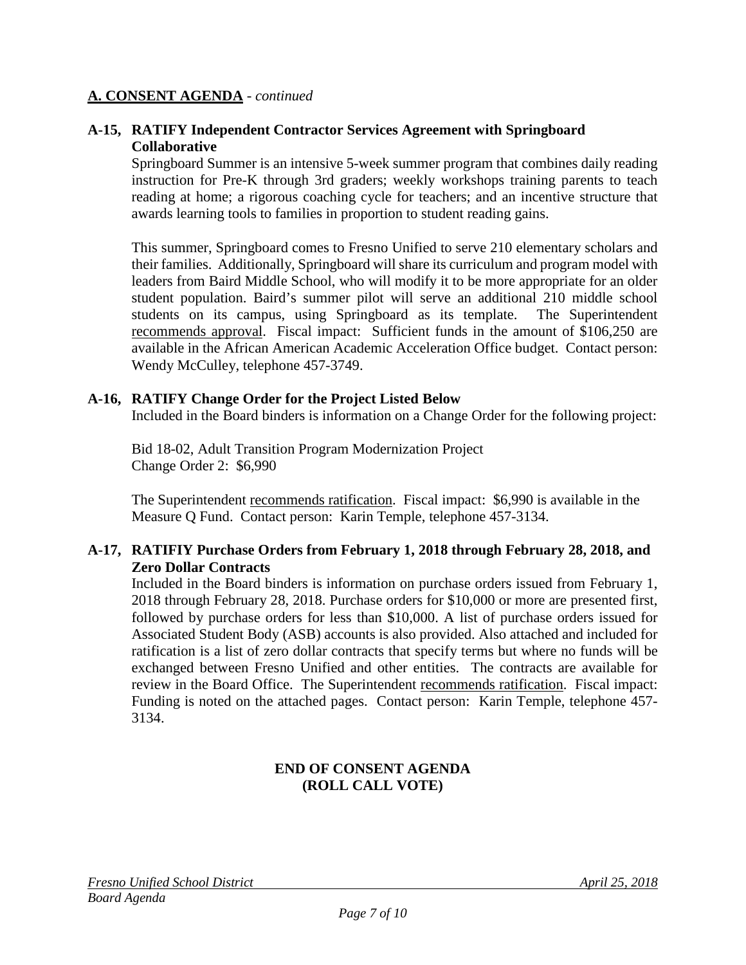#### **A-15, RATIFY Independent Contractor Services Agreement with Springboard Collaborative**

Springboard Summer is an intensive 5-week summer program that combines daily reading instruction for Pre-K through 3rd graders; weekly workshops training parents to teach reading at home; a rigorous coaching cycle for teachers; and an incentive structure that awards learning tools to families in proportion to student reading gains.

This summer, Springboard comes to Fresno Unified to serve 210 elementary scholars and their families. Additionally, Springboard will share its curriculum and program model with leaders from Baird Middle School, who will modify it to be more appropriate for an older student population. Baird's summer pilot will serve an additional 210 middle school students on its campus, using Springboard as its template. The Superintendent recommends approval. Fiscal impact: Sufficient funds in the amount of \$106,250 are available in the African American Academic Acceleration Office budget. Contact person: Wendy McCulley, telephone 457-3749.

#### **A-16, RATIFY Change Order for the Project Listed Below**

Included in the Board binders is information on a Change Order for the following project:

Bid 18-02, Adult Transition Program Modernization Project Change Order 2: \$6,990

The Superintendent recommends ratification. Fiscal impact: \$6,990 is available in the Measure Q Fund. Contact person: Karin Temple, telephone 457-3134.

#### **A-17, RATIFIY Purchase Orders from February 1, 2018 through February 28, 2018, and Zero Dollar Contracts**

Included in the Board binders is information on purchase orders issued from February 1, 2018 through February 28, 2018. Purchase orders for \$10,000 or more are presented first, followed by purchase orders for less than \$10,000. A list of purchase orders issued for Associated Student Body (ASB) accounts is also provided. Also attached and included for ratification is a list of zero dollar contracts that specify terms but where no funds will be exchanged between Fresno Unified and other entities. The contracts are available for review in the Board Office. The Superintendent recommends ratification. Fiscal impact: Funding is noted on the attached pages. Contact person: Karin Temple, telephone 457- 3134.

#### **END OF CONSENT AGENDA (ROLL CALL VOTE)**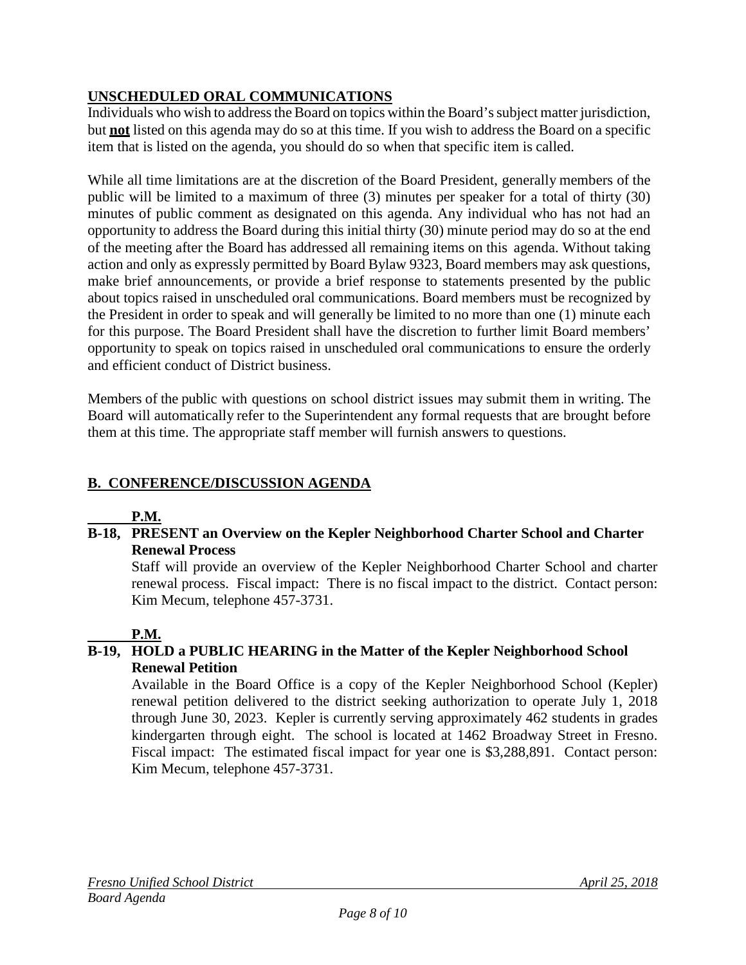## **UNSCHEDULED ORAL COMMUNICATIONS**

Individuals who wish to address the Board on topics within the Board's subject matter jurisdiction, but **not** listed on this agenda may do so at this time. If you wish to address the Board on a specific item that is listed on the agenda, you should do so when that specific item is called.

While all time limitations are at the discretion of the Board President, generally members of the public will be limited to a maximum of three (3) minutes per speaker for a total of thirty (30) minutes of public comment as designated on this agenda. Any individual who has not had an opportunity to address the Board during this initial thirty (30) minute period may do so at the end of the meeting after the Board has addressed all remaining items on this agenda. Without taking action and only as expressly permitted by Board Bylaw 9323, Board members may ask questions, make brief announcements, or provide a brief response to statements presented by the public about topics raised in unscheduled oral communications. Board members must be recognized by the President in order to speak and will generally be limited to no more than one (1) minute each for this purpose. The Board President shall have the discretion to further limit Board members' opportunity to speak on topics raised in unscheduled oral communications to ensure the orderly and efficient conduct of District business.

Members of the public with questions on school district issues may submit them in writing. The Board will automatically refer to the Superintendent any formal requests that are brought before them at this time. The appropriate staff member will furnish answers to questions.

## **B. CONFERENCE/DISCUSSION AGENDA**

## **P.M.**

### **B-18, PRESENT an Overview on the Kepler Neighborhood Charter School and Charter Renewal Process**

Staff will provide an overview of the Kepler Neighborhood Charter School and charter renewal process. Fiscal impact: There is no fiscal impact to the district. Contact person: Kim Mecum, telephone 457-3731.

## **P.M.**

## **B-19, HOLD a PUBLIC HEARING in the Matter of the Kepler Neighborhood School Renewal Petition**

Available in the Board Office is a copy of the Kepler Neighborhood School (Kepler) renewal petition delivered to the district seeking authorization to operate July 1, 2018 through June 30, 2023. Kepler is currently serving approximately 462 students in grades kindergarten through eight. The school is located at 1462 Broadway Street in Fresno. Fiscal impact: The estimated fiscal impact for year one is \$3,288,891. Contact person: Kim Mecum, telephone 457-3731.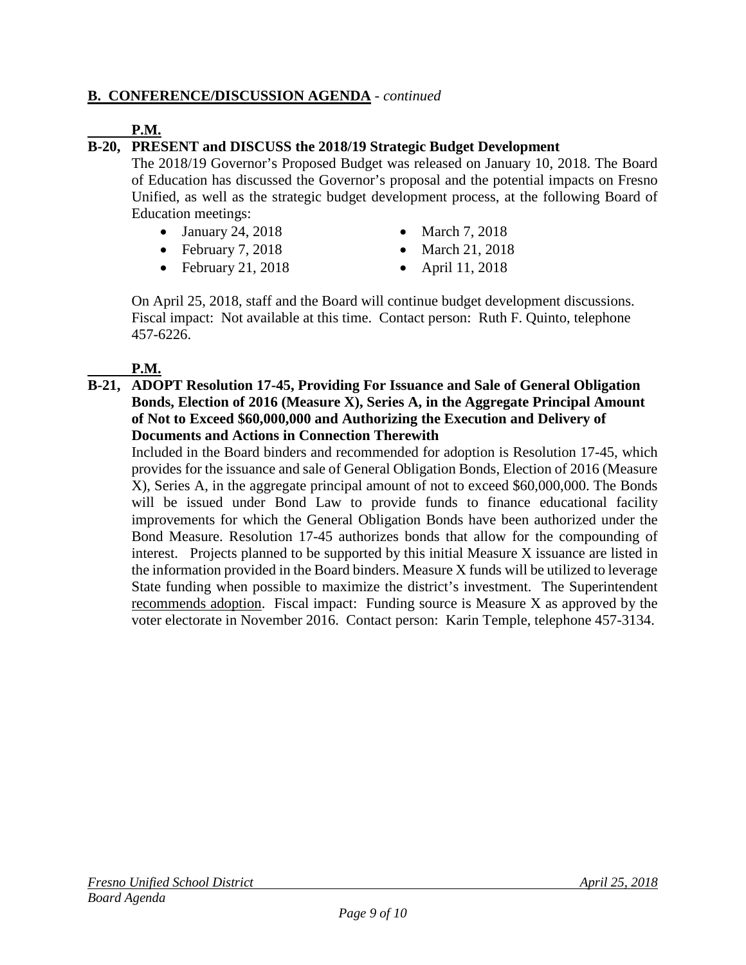### **B. CONFERENCE/DISCUSSION AGENDA** - *continued*

### **P.M.**

## **B-20, PRESENT and DISCUSS the 2018/19 Strategic Budget Development**

The 2018/19 Governor's Proposed Budget was released on January 10, 2018. The Board of Education has discussed the Governor's proposal and the potential impacts on Fresno Unified, as well as the strategic budget development process, at the following Board of Education meetings:

- January 24, 2018 March 7, 2018
- February 7, 2018 March 21, 2018
- February 21, 2018 April 11, 2018
- 
- -

On April 25, 2018, staff and the Board will continue budget development discussions. Fiscal impact: Not available at this time. Contact person: Ruth F. Quinto, telephone 457-6226.

#### **P.M.**

**B-21, ADOPT Resolution 17-45, Providing For Issuance and Sale of General Obligation Bonds, Election of 2016 (Measure X), Series A, in the Aggregate Principal Amount of Not to Exceed \$60,000,000 and Authorizing the Execution and Delivery of Documents and Actions in Connection Therewith**

Included in the Board binders and recommended for adoption is Resolution 17-45, which provides for the issuance and sale of General Obligation Bonds, Election of 2016 (Measure X), Series A, in the aggregate principal amount of not to exceed \$60,000,000. The Bonds will be issued under Bond Law to provide funds to finance educational facility improvements for which the General Obligation Bonds have been authorized under the Bond Measure. Resolution 17-45 authorizes bonds that allow for the compounding of interest. Projects planned to be supported by this initial Measure X issuance are listed in the information provided in the Board binders. Measure X funds will be utilized to leverage State funding when possible to maximize the district's investment. The Superintendent recommends adoption. Fiscal impact: Funding source is Measure X as approved by the voter electorate in November 2016. Contact person: Karin Temple, telephone 457-3134.